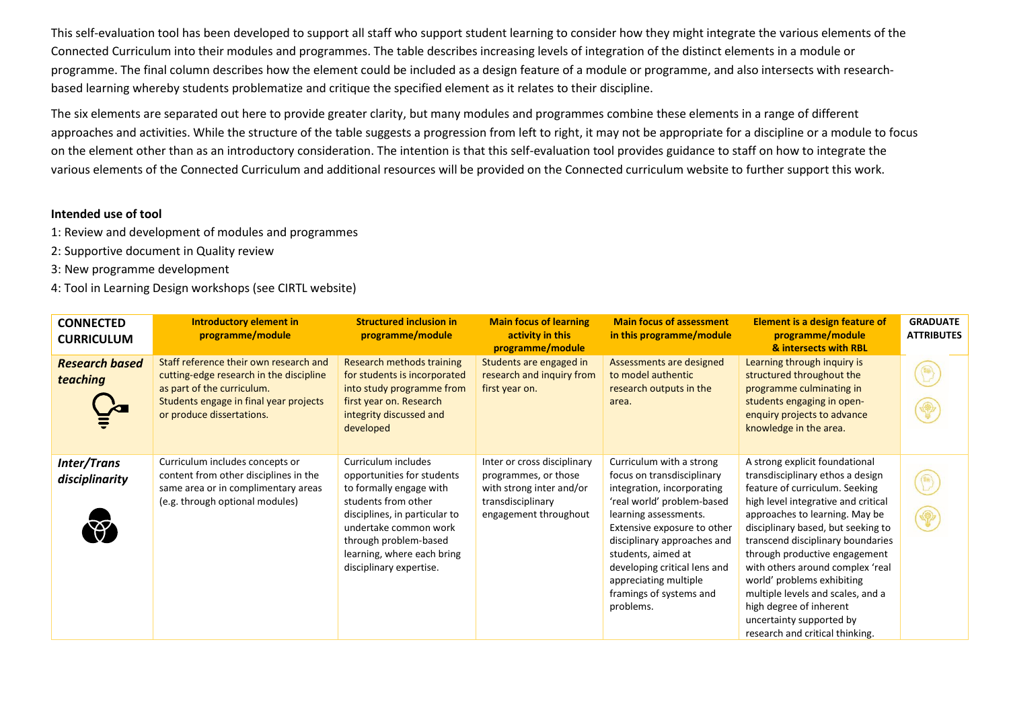This self-evaluation tool has been developed to support all staff who support student learning to consider how they might integrate the various elements of the Connected Curriculum into their modules and programmes. The table describes increasing levels of integration of the distinct elements in a module or programme. The final column describes how the element could be included as a design feature of a module or programme, and also intersects with researchbased learning whereby students problematize and critique the specified element as it relates to their discipline.

The six elements are separated out here to provide greater clarity, but many modules and programmes combine these elements in a range of different approaches and activities. While the structure of the table suggests a progression from left to right, it may not be appropriate for a discipline or a module to focus on the element other than as an introductory consideration. The intention is that this self-evaluation tool provides guidance to staff on how to integrate the various elements of the Connected Curriculum and additional resources will be provided on the Connected curriculum website to further support this work.

## **Intended use of tool**

- 1: Review and development of modules and programmes
- 2: Supportive document in Quality review
- 3: New programme development
- 4: Tool in Learning Design workshops (see CIRTL website)

| <b>CONNECTED</b><br><b>CURRICULUM</b> | Introductory element in<br>programme/module                                                                                                                                            | <b>Structured inclusion in</b><br>programme/module                                                                                                                                                                                              | <b>Main focus of learning</b><br>activity in this<br>programme/module                                                         | <b>Main focus of assessment</b><br>in this programme/module                                                                                                                                                                                                                                                                      | <b>Element is a design feature of</b><br>programme/module<br>& intersects with RBL                                                                                                                                                                                                                                                                                                                                                                                                         | <b>GRADUATE</b><br><b>ATTRIBUTES</b> |
|---------------------------------------|----------------------------------------------------------------------------------------------------------------------------------------------------------------------------------------|-------------------------------------------------------------------------------------------------------------------------------------------------------------------------------------------------------------------------------------------------|-------------------------------------------------------------------------------------------------------------------------------|----------------------------------------------------------------------------------------------------------------------------------------------------------------------------------------------------------------------------------------------------------------------------------------------------------------------------------|--------------------------------------------------------------------------------------------------------------------------------------------------------------------------------------------------------------------------------------------------------------------------------------------------------------------------------------------------------------------------------------------------------------------------------------------------------------------------------------------|--------------------------------------|
| <b>Research based</b><br>teaching     | Staff reference their own research and<br>cutting-edge research in the discipline<br>as part of the curriculum.<br>Students engage in final year projects<br>or produce dissertations. | Research methods training<br>for students is incorporated<br>into study programme from<br>first year on. Research<br>integrity discussed and<br>developed                                                                                       | Students are engaged in<br>research and inquiry from<br>first year on.                                                        | Assessments are designed<br>to model authentic<br>research outputs in the<br>area.                                                                                                                                                                                                                                               | Learning through inquiry is<br>structured throughout the<br>programme culminating in<br>students engaging in open-<br>enquiry projects to advance<br>knowledge in the area.                                                                                                                                                                                                                                                                                                                |                                      |
| Inter/Trans<br>disciplinarity         | Curriculum includes concepts or<br>content from other disciplines in the<br>same area or in complimentary areas<br>(e.g. through optional modules)                                     | Curriculum includes<br>opportunities for students<br>to formally engage with<br>students from other<br>disciplines, in particular to<br>undertake common work<br>through problem-based<br>learning, where each bring<br>disciplinary expertise. | Inter or cross disciplinary<br>programmes, or those<br>with strong inter and/or<br>transdisciplinary<br>engagement throughout | Curriculum with a strong<br>focus on transdisciplinary<br>integration, incorporating<br>'real world' problem-based<br>learning assessments.<br>Extensive exposure to other<br>disciplinary approaches and<br>students, aimed at<br>developing critical lens and<br>appreciating multiple<br>framings of systems and<br>problems. | A strong explicit foundational<br>transdisciplinary ethos a design<br>feature of curriculum. Seeking<br>high level integrative and critical<br>approaches to learning. May be<br>disciplinary based, but seeking to<br>transcend disciplinary boundaries<br>through productive engagement<br>with others around complex 'real<br>world' problems exhibiting<br>multiple levels and scales, and a<br>high degree of inherent<br>uncertainty supported by<br>research and critical thinking. | P                                    |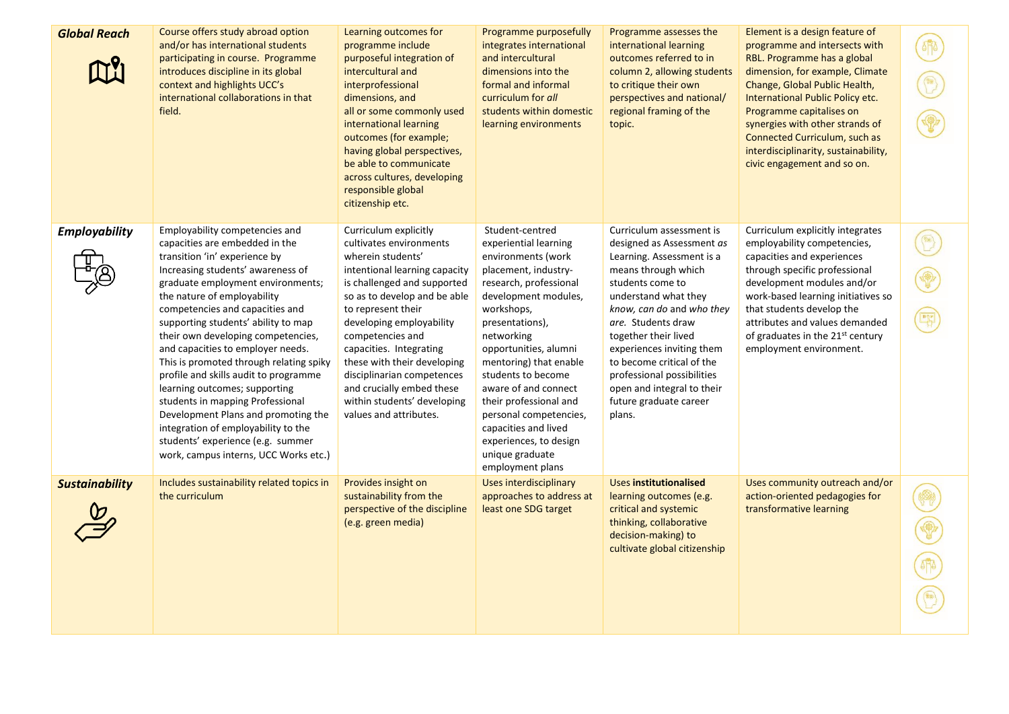| <b>Global Reach</b>   | Course offers study abroad option<br>and/or has international students<br>participating in course. Programme<br>introduces discipline in its global<br>context and highlights UCC's<br>international collaborations in that<br>field.                                                                                                                                                                                                                                                                                                                                                                                                                                                | Learning outcomes for<br>programme include<br>purposeful integration of<br>intercultural and<br>interprofessional<br>dimensions, and<br>all or some commonly used<br>international learning<br>outcomes (for example;<br>having global perspectives,<br>be able to communicate<br>across cultures, developing<br>responsible global<br>citizenship etc.                                                                   | Programme purposefully<br>integrates international<br>and intercultural<br>dimensions into the<br>formal and informal<br>curriculum for all<br>students within domestic<br>learning environments                                                                                                                                                                                                                                      | Programme assesses the<br>international learning<br>outcomes referred to in<br>column 2, allowing students<br>to critique their own<br>perspectives and national/<br>regional framing of the<br>topic.                                                                                                                                                                                     | Element is a design feature of<br>programme and intersects with<br>RBL. Programme has a global<br>dimension, for example, Climate<br>Change, Global Public Health,<br>International Public Policy etc.<br>Programme capitalises on<br>synergies with other strands of<br>Connected Curriculum, such as<br>interdisciplinarity, sustainability,<br>civic engagement and so on. | 哪 |
|-----------------------|--------------------------------------------------------------------------------------------------------------------------------------------------------------------------------------------------------------------------------------------------------------------------------------------------------------------------------------------------------------------------------------------------------------------------------------------------------------------------------------------------------------------------------------------------------------------------------------------------------------------------------------------------------------------------------------|---------------------------------------------------------------------------------------------------------------------------------------------------------------------------------------------------------------------------------------------------------------------------------------------------------------------------------------------------------------------------------------------------------------------------|---------------------------------------------------------------------------------------------------------------------------------------------------------------------------------------------------------------------------------------------------------------------------------------------------------------------------------------------------------------------------------------------------------------------------------------|--------------------------------------------------------------------------------------------------------------------------------------------------------------------------------------------------------------------------------------------------------------------------------------------------------------------------------------------------------------------------------------------|-------------------------------------------------------------------------------------------------------------------------------------------------------------------------------------------------------------------------------------------------------------------------------------------------------------------------------------------------------------------------------|---|
| <b>Employability</b>  | Employability competencies and<br>capacities are embedded in the<br>transition 'in' experience by<br>Increasing students' awareness of<br>graduate employment environments;<br>the nature of employability<br>competencies and capacities and<br>supporting students' ability to map<br>their own developing competencies,<br>and capacities to employer needs.<br>This is promoted through relating spiky<br>profile and skills audit to programme<br>learning outcomes; supporting<br>students in mapping Professional<br>Development Plans and promoting the<br>integration of employability to the<br>students' experience (e.g. summer<br>work, campus interns, UCC Works etc.) | Curriculum explicitly<br>cultivates environments<br>wherein students'<br>intentional learning capacity<br>is challenged and supported<br>so as to develop and be able<br>to represent their<br>developing employability<br>competencies and<br>capacities. Integrating<br>these with their developing<br>disciplinarian competences<br>and crucially embed these<br>within students' developing<br>values and attributes. | Student-centred<br>experiential learning<br>environments (work<br>placement, industry-<br>research, professional<br>development modules,<br>workshops,<br>presentations),<br>networking<br>opportunities, alumni<br>mentoring) that enable<br>students to become<br>aware of and connect<br>their professional and<br>personal competencies,<br>capacities and lived<br>experiences, to design<br>unique graduate<br>employment plans | Curriculum assessment is<br>designed as Assessment as<br>Learning. Assessment is a<br>means through which<br>students come to<br>understand what they<br>know, can do and who they<br>are. Students draw<br>together their lived<br>experiences inviting them<br>to become critical of the<br>professional possibilities<br>open and integral to their<br>future graduate career<br>plans. | Curriculum explicitly integrates<br>employability competencies,<br>capacities and experiences<br>through specific professional<br>development modules and/or<br>work-based learning initiatives so<br>that students develop the<br>attributes and values demanded<br>of graduates in the 21st century<br>employment environment.                                              |   |
| <b>Sustainability</b> | Includes sustainability related topics in<br>the curriculum                                                                                                                                                                                                                                                                                                                                                                                                                                                                                                                                                                                                                          | Provides insight on<br>sustainability from the<br>perspective of the discipline<br>(e.g. green media)                                                                                                                                                                                                                                                                                                                     | Uses interdisciplinary<br>approaches to address at<br>least one SDG target                                                                                                                                                                                                                                                                                                                                                            | <b>Uses institutionalised</b><br>learning outcomes (e.g.<br>critical and systemic<br>thinking, collaborative<br>decision-making) to<br>cultivate global citizenship                                                                                                                                                                                                                        | Uses community outreach and/or<br>action-oriented pedagogies for<br>transformative learning                                                                                                                                                                                                                                                                                   |   |